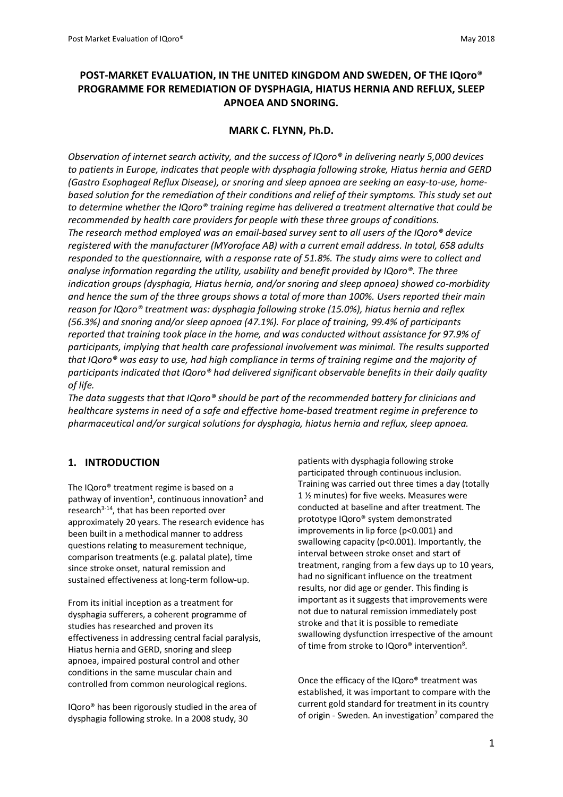# **POST-MARKET EVALUATION, IN THE UNITED KINGDOM AND SWEDEN, OF THE IQoro**® **PROGRAMME FOR REMEDIATION OF DYSPHAGIA, HIATUS HERNIA AND REFLUX, SLEEP APNOEA AND SNORING.**

## **MARK C. FLYNN, Ph.D.**

*Observation of internet search activity, and the success of IQoro® in delivering nearly 5,000 devices to patients in Europe, indicates that people with dysphagia following stroke, Hiatus hernia and GERD (Gastro Esophageal Reflux Disease), or snoring and sleep apnoea are seeking an easy-to-use, homebased solution for the remediation of their conditions and relief of their symptoms. This study set out to determine whether the IQoro® training regime has delivered a treatment alternative that could be recommended by health care providers for people with these three groups of conditions. The research method employed was an email-based survey sent to all users of the IQoro® device registered with the manufacturer (MYoroface AB) with a current email address. In total, 658 adults responded to the questionnaire, with a response rate of 51.8%. The study aims were to collect and analyse information regarding the utility, usability and benefit provided by IQoro®. The three indication groups (dysphagia, Hiatus hernia, and/or snoring and sleep apnoea) showed co-morbidity and hence the sum of the three groups shows a total of more than 100%. Users reported their main reason for IQoro® treatment was: dysphagia following stroke (15.0%), hiatus hernia and reflex (56.3%) and snoring and/or sleep apnoea (47.1%). For place of training, 99.4% of participants reported that training took place in the home, and was conducted without assistance for 97.9% of participants, implying that health care professional involvement was minimal. The results supported that IQoro® was easy to use, had high compliance in terms of training regime and the majority of participants indicated that IQoro® had delivered significant observable benefits in their daily quality of life.*

*The data suggests that that IQoro® should be part of the recommended battery for clinicians and healthcare systems in need of a safe and effective home-based treatment regime in preference to pharmaceutical and/or surgical solutions for dysphagia, hiatus hernia and reflux, sleep apnoea.*

### **1. INTRODUCTION**

The IQoro® treatment regime is based on a pathway of invention<sup>1</sup>, continuous innovation<sup>2</sup> and research<sup>3-14</sup>, that has been reported over approximately 20 years. The research evidence has been built in a methodical manner to address questions relating to measurement technique, comparison treatments (e.g. palatal plate), time since stroke onset, natural remission and sustained effectiveness at long-term follow-up.

From its initial inception as a treatment for dysphagia sufferers, a coherent programme of studies has researched and proven its effectiveness in addressing central facial paralysis, Hiatus hernia and GERD, snoring and sleep apnoea, impaired postural control and other conditions in the same muscular chain and controlled from common neurological regions.

IQoro® has been rigorously studied in the area of dysphagia following stroke. In a 2008 study, 30

patients with dysphagia following stroke participated through continuous inclusion. Training was carried out three times a day (totally 1 ½ minutes) for five weeks. Measures were conducted at baseline and after treatment. The prototype IQoro® system demonstrated improvements in lip force (p<0.001) and swallowing capacity (p<0.001). Importantly, the interval between stroke onset and start of treatment, ranging from a few days up to 10 years, had no significant influence on the treatment results, nor did age or gender. This finding is important as it suggests that improvements were not due to natural remission immediately post stroke and that it is possible to remediate swallowing dysfunction irrespective of the amount of time from stroke to IQoro® intervention<sup>8</sup>.

Once the efficacy of the IQoro® treatment was established, it was important to compare with the current gold standard for treatment in its country of origin - Sweden. An investigation<sup>7</sup> compared the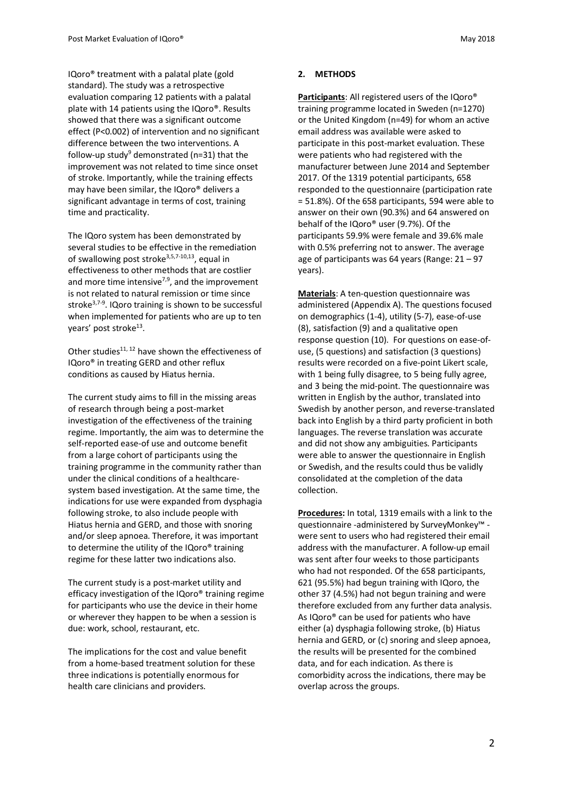IQoro® treatment with a palatal plate (gold standard). The study was a retrospective evaluation comparing 12 patients with a palatal plate with 14 patients using the IQoro®. Results showed that there was a significant outcome effect (P<0.002) of intervention and no significant difference between the two interventions. A follow-up study<sup>9</sup> demonstrated ( $n=31$ ) that the improvement was not related to time since onset of stroke. Importantly, while the training effects may have been similar, the IQoro® delivers a significant advantage in terms of cost, training time and practicality.

The IQoro system has been demonstrated by several studies to be effective in the remediation of swallowing post stroke<sup>3,5,7-10,13</sup>, equal in effectiveness to other methods that are costlier and more time intensive $7,9$ , and the improvement is not related to natural remission or time since stroke<sup>3,7-9</sup>. IQoro training is shown to be successful when implemented for patients who are up to ten years' post stroke<sup>13</sup>.

Other studies $^{11, 12}$  have shown the effectiveness of IQoro® in treating GERD and other reflux conditions as caused by Hiatus hernia.

The current study aims to fill in the missing areas of research through being a post-market investigation of the effectiveness of the training regime. Importantly, the aim was to determine the self-reported ease-of use and outcome benefit from a large cohort of participants using the training programme in the community rather than under the clinical conditions of a healthcaresystem based investigation. At the same time, the indications for use were expanded from dysphagia following stroke, to also include people with Hiatus hernia and GERD, and those with snoring and/or sleep apnoea. Therefore, it was important to determine the utility of the IQoro® training regime for these latter two indications also.

The current study is a post-market utility and efficacy investigation of the IQoro® training regime for participants who use the device in their home or wherever they happen to be when a session is due: work, school, restaurant, etc.

The implications for the cost and value benefit from a home-based treatment solution for these three indications is potentially enormous for health care clinicians and providers.

#### **2. METHODS**

**Participants**: All registered users of the IQoro® training programme located in Sweden (n=1270) or the United Kingdom (n=49) for whom an active email address was available were asked to participate in this post-market evaluation. These were patients who had registered with the manufacturer between June 2014 and September 2017. Of the 1319 potential participants, 658 responded to the questionnaire (participation rate = 51.8%). Of the 658 participants, 594 were able to answer on their own (90.3%) and 64 answered on behalf of the IQoro® user (9.7%). Of the participants 59.9% were female and 39.6% male with 0.5% preferring not to answer. The average age of participants was 64 years (Range: 21 – 97 years).

**Materials**: A ten-question questionnaire was administered (Appendix A). The questions focused on demographics (1-4), utility (5-7), ease-of-use (8), satisfaction (9) and a qualitative open response question (10). For questions on ease-ofuse, (5 questions) and satisfaction (3 questions) results were recorded on a five-point Likert scale, with 1 being fully disagree, to 5 being fully agree, and 3 being the mid-point. The questionnaire was written in English by the author, translated into Swedish by another person, and reverse-translated back into English by a third party proficient in both languages. The reverse translation was accurate and did not show any ambiguities. Participants were able to answer the questionnaire in English or Swedish, and the results could thus be validly consolidated at the completion of the data collection.

**Procedures:** In total, 1319 emails with a link to the questionnaire -administered by SurveyMonkey™ were sent to users who had registered their email address with the manufacturer. A follow-up email was sent after four weeks to those participants who had not responded. Of the 658 participants, 621 (95.5%) had begun training with IQoro, the other 37 (4.5%) had not begun training and were therefore excluded from any further data analysis. As IQoro® can be used for patients who have either (a) dysphagia following stroke, (b) Hiatus hernia and GERD, or (c) snoring and sleep apnoea, the results will be presented for the combined data, and for each indication. As there is comorbidity across the indications, there may be overlap across the groups.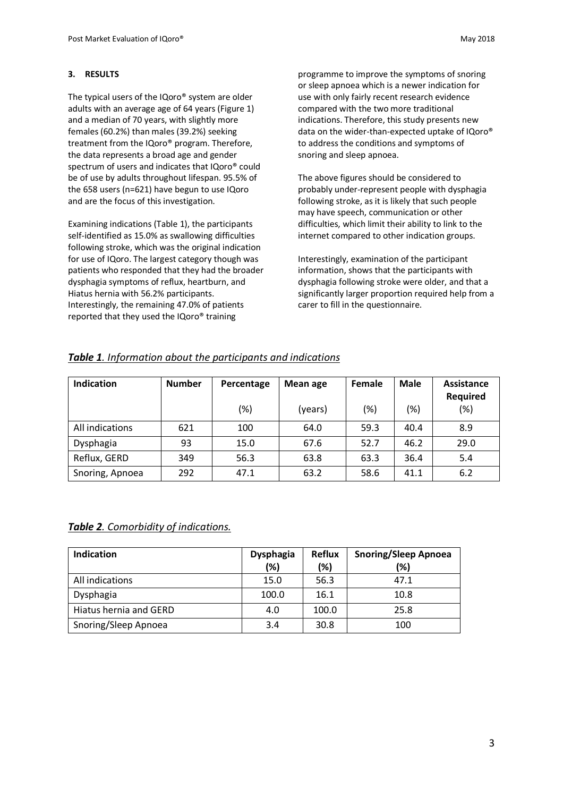#### **3. RESULTS**

The typical users of the IQoro® system are older adults with an average age of 64 years (Figure 1) and a median of 70 years, with slightly more females (60.2%) than males (39.2%) seeking treatment from the IQoro® program. Therefore, the data represents a broad age and gender spectrum of users and indicates that IQoro® could be of use by adults throughout lifespan. 95.5% of the 658 users (n=621) have begun to use IQoro and are the focus of this investigation.

Examining indications (Table 1), the participants self-identified as 15.0% as swallowing difficulties following stroke, which was the original indication for use of IQoro. The largest category though was patients who responded that they had the broader dysphagia symptoms of reflux, heartburn, and Hiatus hernia with 56.2% participants. Interestingly, the remaining 47.0% of patients reported that they used the IQoro® training

programme to improve the symptoms of snoring or sleep apnoea which is a newer indication for use with only fairly recent research evidence compared with the two more traditional indications. Therefore, this study presents new data on the wider-than-expected uptake of IQoro® to address the conditions and symptoms of snoring and sleep apnoea.

The above figures should be considered to probably under-represent people with dysphagia following stroke, as it is likely that such people may have speech, communication or other difficulties, which limit their ability to link to the internet compared to other indication groups.

Interestingly, examination of the participant information, shows that the participants with dysphagia following stroke were older, and that a significantly larger proportion required help from a carer to fill in the questionnaire.

# *Table 1. Information about the participants and indications*

| <b>Indication</b> | <b>Number</b> | Percentage | <b>Mean age</b> | Female | <b>Male</b> | Assistance<br><b>Required</b> |
|-------------------|---------------|------------|-----------------|--------|-------------|-------------------------------|
|                   |               | (%)        | (years)         | (%)    | $(\%)$      | $(\%)$                        |
| All indications   | 621           | 100        | 64.0            | 59.3   | 40.4        | 8.9                           |
| Dysphagia         | 93            | 15.0       | 67.6            | 52.7   | 46.2        | 29.0                          |
| Reflux, GERD      | 349           | 56.3       | 63.8            | 63.3   | 36.4        | 5.4                           |
| Snoring, Apnoea   | 292           | 47.1       | 63.2            | 58.6   | 41.1        | 6.2                           |

# *Table 2. Comorbidity of indications.*

| <b>Indication</b>      | <b>Dysphagia</b><br>(%) | <b>Reflux</b><br>(%) | <b>Snoring/Sleep Apnoea</b><br>(%) |
|------------------------|-------------------------|----------------------|------------------------------------|
| All indications        | 15.0                    | 56.3                 | 47.1                               |
| Dysphagia              | 100.0                   | 16.1                 | 10.8                               |
| Hiatus hernia and GERD | 4.0                     | 100.0                | 25.8                               |
| Snoring/Sleep Apnoea   | 3.4                     | 30.8                 | 100                                |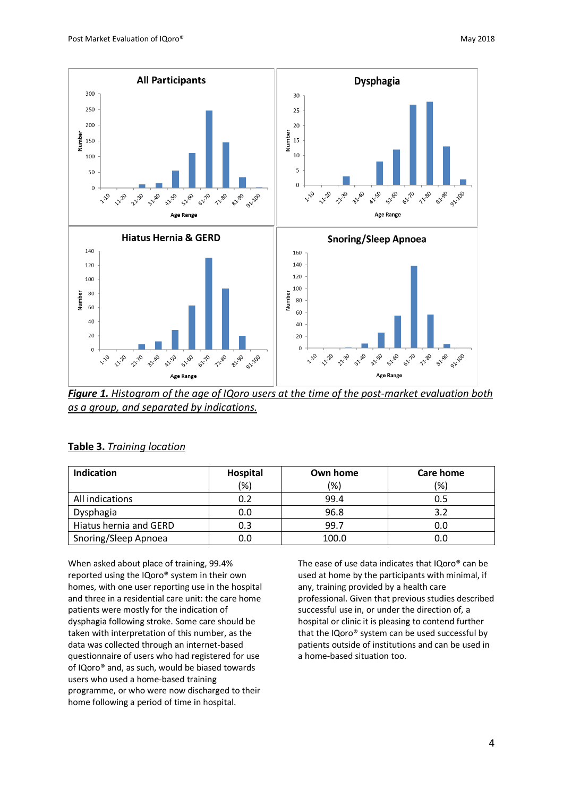

*Figure 1. Histogram of the age of IQoro users at the time of the post-market evaluation both as a group, and separated by indications.*

|--|

| Indication             | Hospital | Own home | <b>Care home</b> |  |
|------------------------|----------|----------|------------------|--|
|                        | (%)      | (%)      | '%)              |  |
| All indications        | 0.2      | 99.4     | 0.5              |  |
| Dysphagia              | 0.0      | 96.8     |                  |  |
| Hiatus hernia and GERD | 0.3      | 99.7     | 0.0              |  |
| Snoring/Sleep Apnoea   | 0.0      | 100.0    |                  |  |

When asked about place of training, 99.4% reported using the IQoro® system in their own homes, with one user reporting use in the hospital and three in a residential care unit: the care home patients were mostly for the indication of dysphagia following stroke. Some care should be taken with interpretation of this number, as the data was collected through an internet-based questionnaire of users who had registered for use of IQoro® and, as such, would be biased towards users who used a home-based training programme, or who were now discharged to their home following a period of time in hospital.

The ease of use data indicates that IQoro® can be used at home by the participants with minimal, if any, training provided by a health care professional. Given that previous studies described successful use in, or under the direction of, a hospital or clinic it is pleasing to contend further that the IQoro® system can be used successful by patients outside of institutions and can be used in a home-based situation too.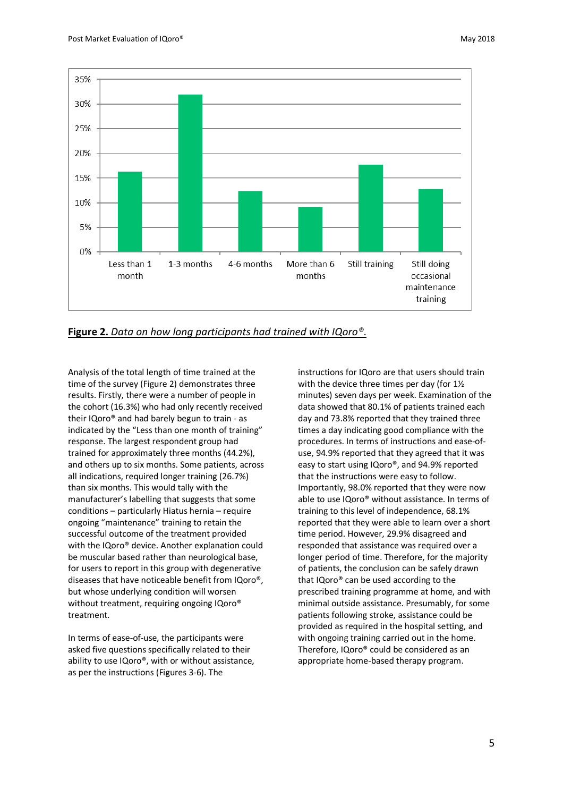

**Figure 2.** *Data on how long participants had trained with IQoro®*.

Analysis of the total length of time trained at the time of the survey (Figure 2) demonstrates three results. Firstly, there were a number of people in the cohort (16.3%) who had only recently received their IQoro® and had barely begun to train - as indicated by the "Less than one month of training" response. The largest respondent group had trained for approximately three months (44.2%), and others up to six months. Some patients, across all indications, required longer training (26.7%) than six months. This would tally with the manufacturer's labelling that suggests that some conditions – particularly Hiatus hernia – require ongoing "maintenance" training to retain the successful outcome of the treatment provided with the IQoro® device. Another explanation could be muscular based rather than neurological base, for users to report in this group with degenerative diseases that have noticeable benefit from IQoro®, but whose underlying condition will worsen without treatment, requiring ongoing IQoro® treatment.

In terms of ease-of-use, the participants were asked five questions specifically related to their ability to use IQoro®, with or without assistance, as per the instructions (Figures 3-6). The

instructions for IQoro are that users should train with the device three times per day (for 11/2 minutes) seven days per week. Examination of the data showed that 80.1% of patients trained each day and 73.8% reported that they trained three times a day indicating good compliance with the procedures. In terms of instructions and ease-ofuse, 94.9% reported that they agreed that it was easy to start using IQoro®, and 94.9% reported that the instructions were easy to follow. Importantly, 98.0% reported that they were now able to use IQoro® without assistance. In terms of training to this level of independence, 68.1% reported that they were able to learn over a short time period. However, 29.9% disagreed and responded that assistance was required over a longer period of time. Therefore, for the majority of patients, the conclusion can be safely drawn that IQoro® can be used according to the prescribed training programme at home, and with minimal outside assistance. Presumably, for some patients following stroke, assistance could be provided as required in the hospital setting, and with ongoing training carried out in the home. Therefore, IQoro® could be considered as an appropriate home-based therapy program.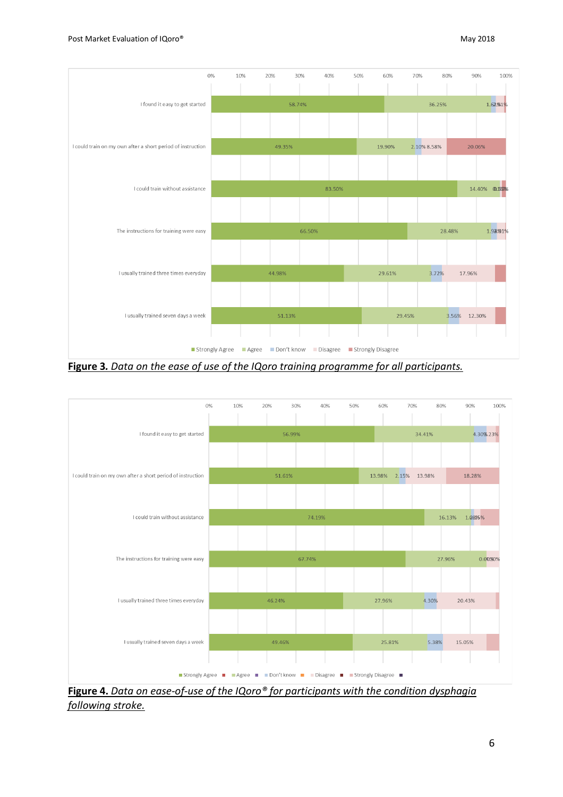

**Figure 3***. Data on the ease of use of the IQoro training programme for all participants.*



**Figure 4.** *Data on ease-of-use of the IQoro® for participants with the condition dysphagia following stroke.*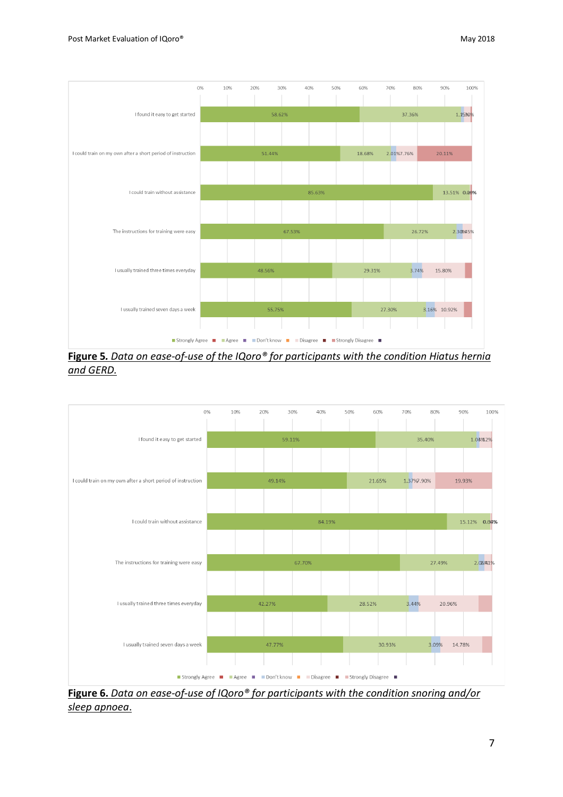

**Figure 5***. Data on ease-of-use of the IQoro® for participants with the condition Hiatus hernia and GERD.*



**Figure 6.** *Data on ease-of-use of IQoro® for participants with the condition snoring and/or sleep apnoea*.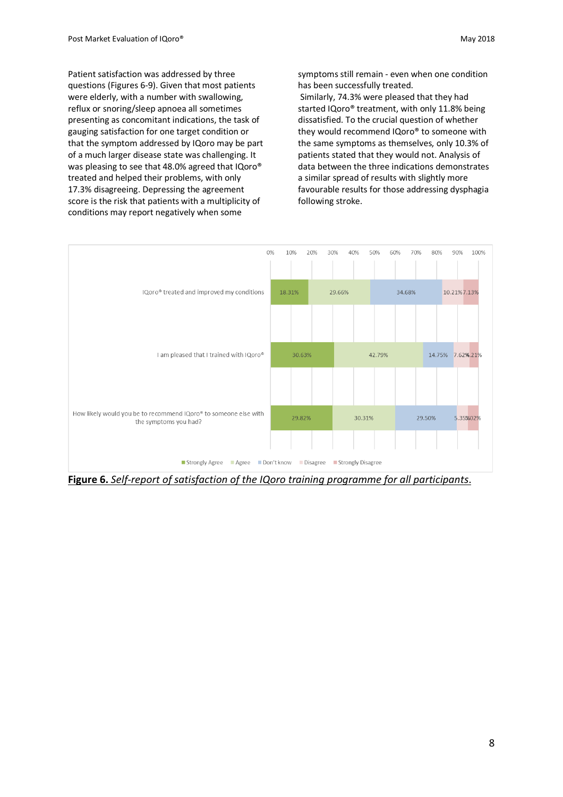Patient satisfaction was addressed by three questions (Figures 6-9). Given that most patients were elderly, with a number with swallowing, reflux or snoring/sleep apnoea all sometimes presenting as concomitant indications, the task of gauging satisfaction for one target condition or that the symptom addressed by IQoro may be part of a much larger disease state was challenging. It was pleasing to see that 48.0% agreed that IQoro® treated and helped their problems, with only 17.3% disagreeing. Depressing the agreement score is the risk that patients with a multiplicity of conditions may report negatively when some

symptoms still remain - even when one condition has been successfully treated.

Similarly, 74.3% were pleased that they had started IQoro® treatment, with only 11.8% being dissatisfied. To the crucial question of whether they would recommend IQoro® to someone with the same symptoms as themselves, only 10.3% of patients stated that they would not. Analysis of data between the three indications demonstrates a similar spread of results with slightly more favourable results for those addressing dysphagia following stroke.



**Figure 6.** *Self-report of satisfaction of the IQoro training programme for all participants*.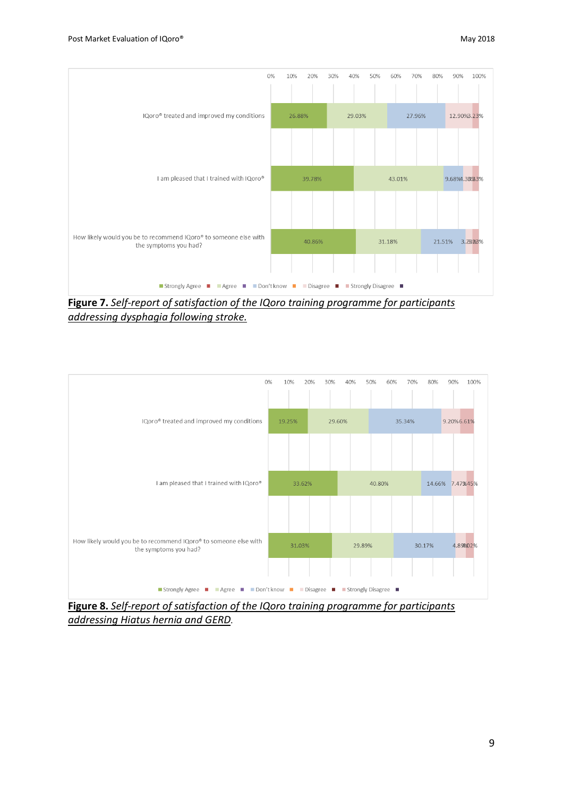

**Figure 7.** *Self-report of satisfaction of the IQoro training programme for participants addressing dysphagia following stroke.*



**Figure 8.** *Self-report of satisfaction of the IQoro training programme for participants addressing Hiatus hernia and GERD*.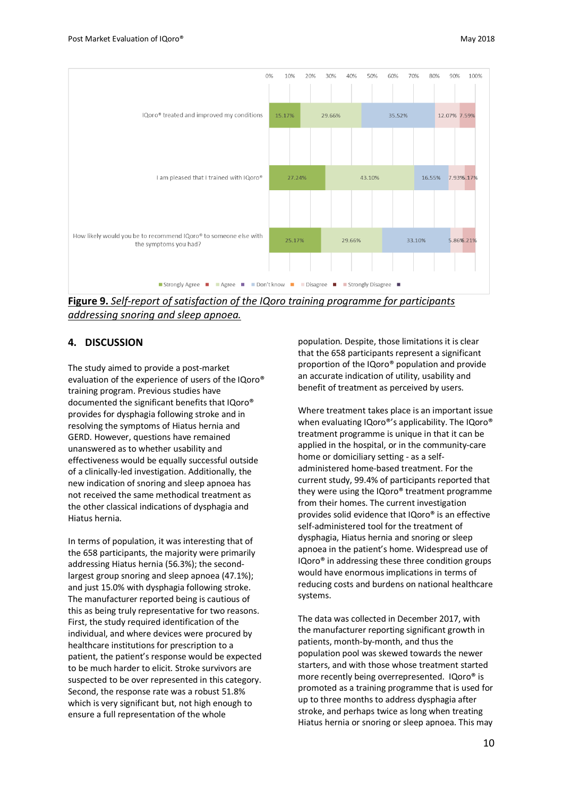

**Figure 9.** *Self-report of satisfaction of the IQoro training programme for participants addressing snoring and sleep apnoea.*

### **4. DISCUSSION**

The study aimed to provide a post-market evaluation of the experience of users of the IQoro® training program. Previous studies have documented the significant benefits that IQoro® provides for dysphagia following stroke and in resolving the symptoms of Hiatus hernia and GERD. However, questions have remained unanswered as to whether usability and effectiveness would be equally successful outside of a clinically-led investigation. Additionally, the new indication of snoring and sleep apnoea has not received the same methodical treatment as the other classical indications of dysphagia and Hiatus hernia.

In terms of population, it was interesting that of the 658 participants, the majority were primarily addressing Hiatus hernia (56.3%); the secondlargest group snoring and sleep apnoea (47.1%); and just 15.0% with dysphagia following stroke. The manufacturer reported being is cautious of this as being truly representative for two reasons. First, the study required identification of the individual, and where devices were procured by healthcare institutions for prescription to a patient, the patient's response would be expected to be much harder to elicit. Stroke survivors are suspected to be over represented in this category. Second, the response rate was a robust 51.8% which is very significant but, not high enough to ensure a full representation of the whole

population. Despite, those limitations it is clear that the 658 participants represent a significant proportion of the IQoro® population and provide an accurate indication of utility, usability and benefit of treatment as perceived by users.

Where treatment takes place is an important issue when evaluating IQoro®'s applicability. The IQoro® treatment programme is unique in that it can be applied in the hospital, or in the community-care home or domiciliary setting - as a selfadministered home-based treatment. For the current study, 99.4% of participants reported that they were using the IQoro® treatment programme from their homes. The current investigation provides solid evidence that IQoro® is an effective self-administered tool for the treatment of dysphagia, Hiatus hernia and snoring or sleep apnoea in the patient's home. Widespread use of IQoro® in addressing these three condition groups would have enormous implications in terms of reducing costs and burdens on national healthcare systems.

The data was collected in December 2017, with the manufacturer reporting significant growth in patients, month-by-month, and thus the population pool was skewed towards the newer starters, and with those whose treatment started more recently being overrepresented. IQoro® is promoted as a training programme that is used for up to three months to address dysphagia after stroke, and perhaps twice as long when treating Hiatus hernia or snoring or sleep apnoea. This may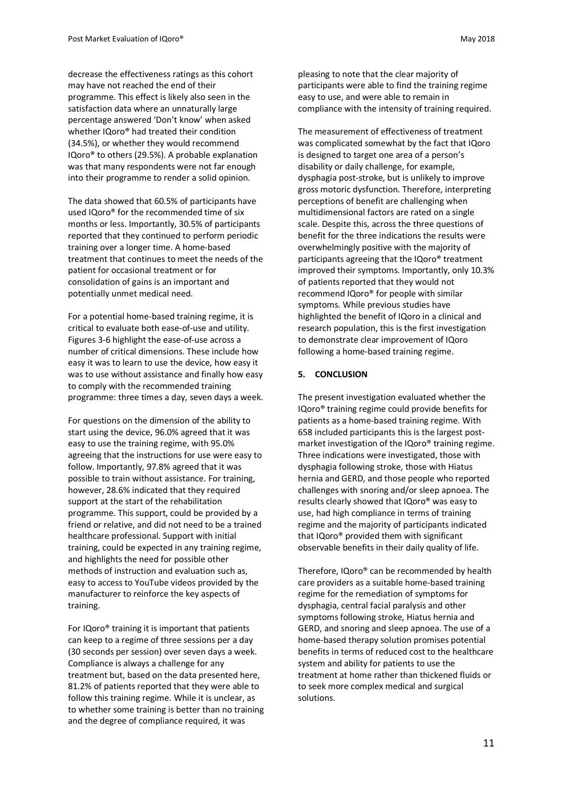decrease the effectiveness ratings as this cohort may have not reached the end of their programme. This effect is likely also seen in the satisfaction data where an unnaturally large percentage answered 'Don't know' when asked whether IQoro® had treated their condition (34.5%), or whether they would recommend IQoro® to others (29.5%). A probable explanation was that many respondents were not far enough into their programme to render a solid opinion.

The data showed that 60.5% of participants have used IQoro® for the recommended time of six months or less. Importantly, 30.5% of participants reported that they continued to perform periodic training over a longer time. A home-based treatment that continues to meet the needs of the patient for occasional treatment or for consolidation of gains is an important and potentially unmet medical need.

For a potential home-based training regime, it is critical to evaluate both ease-of-use and utility. Figures 3-6 highlight the ease-of-use across a number of critical dimensions. These include how easy it was to learn to use the device, how easy it was to use without assistance and finally how easy to comply with the recommended training programme: three times a day, seven days a week.

For questions on the dimension of the ability to start using the device, 96.0% agreed that it was easy to use the training regime, with 95.0% agreeing that the instructions for use were easy to follow. Importantly, 97.8% agreed that it was possible to train without assistance. For training, however, 28.6% indicated that they required support at the start of the rehabilitation programme. This support, could be provided by a friend or relative, and did not need to be a trained healthcare professional. Support with initial training, could be expected in any training regime, and highlights the need for possible other methods of instruction and evaluation such as, easy to access to YouTube videos provided by the manufacturer to reinforce the key aspects of training.

For IQoro® training it is important that patients can keep to a regime of three sessions per a day (30 seconds per session) over seven days a week. Compliance is always a challenge for any treatment but, based on the data presented here, 81.2% of patients reported that they were able to follow this training regime. While it is unclear, as to whether some training is better than no training and the degree of compliance required, it was

pleasing to note that the clear majority of participants were able to find the training regime easy to use, and were able to remain in compliance with the intensity of training required.

The measurement of effectiveness of treatment was complicated somewhat by the fact that IQoro is designed to target one area of a person's disability or daily challenge, for example, dysphagia post-stroke, but is unlikely to improve gross motoric dysfunction. Therefore, interpreting perceptions of benefit are challenging when multidimensional factors are rated on a single scale. Despite this, across the three questions of benefit for the three indications the results were overwhelmingly positive with the majority of participants agreeing that the IQoro® treatment improved their symptoms. Importantly, only 10.3% of patients reported that they would not recommend IQoro® for people with similar symptoms. While previous studies have highlighted the benefit of IQoro in a clinical and research population, this is the first investigation to demonstrate clear improvement of IQoro following a home-based training regime.

#### **5. CONCLUSION**

The present investigation evaluated whether the IQoro® training regime could provide benefits for patients as a home-based training regime. With 658 included participants this is the largest postmarket investigation of the IQoro® training regime. Three indications were investigated, those with dysphagia following stroke, those with Hiatus hernia and GERD, and those people who reported challenges with snoring and/or sleep apnoea. The results clearly showed that IQoro® was easy to use, had high compliance in terms of training regime and the majority of participants indicated that IQoro® provided them with significant observable benefits in their daily quality of life.

Therefore, IQoro® can be recommended by health care providers as a suitable home-based training regime for the remediation of symptoms for dysphagia, central facial paralysis and other symptoms following stroke, Hiatus hernia and GERD, and snoring and sleep apnoea. The use of a home-based therapy solution promises potential benefits in terms of reduced cost to the healthcare system and ability for patients to use the treatment at home rather than thickened fluids or to seek more complex medical and surgical solutions.